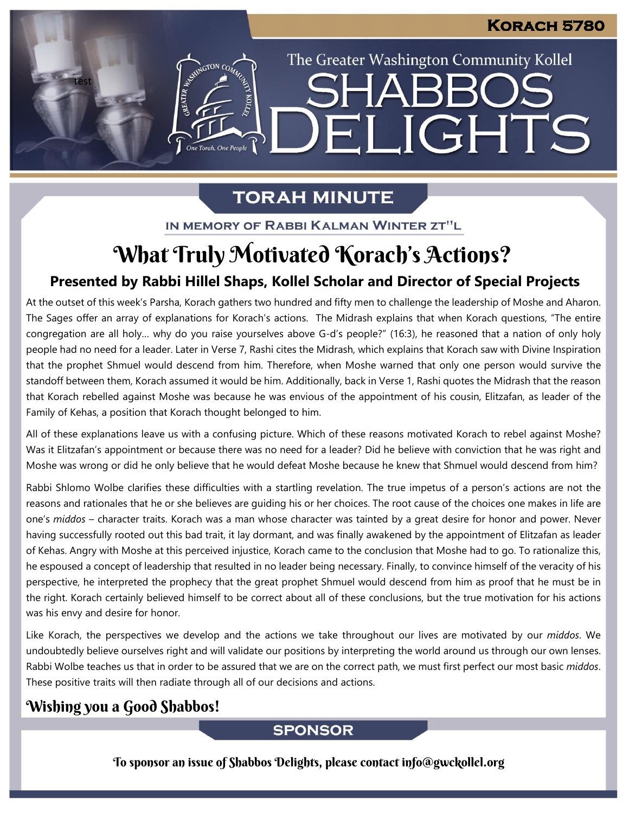The Greater Washington Community Kollel

ELIGHTS

**SHARR** 

# **TORAH MINUTE**

IN MEMORY OF RABBI KALMAN WINTER ZT"L

# What Truly Motivated Korach's Actions?

# **Presented by Rabbi Hillel Shaps, Kollel Scholar and Director of Special Projects**

At the outset of this week's Parsha, Korach gathers two hundred and fifty men to challenge the leadership of Moshe and Aharon. The Sages offer an array of explanations for Korach's actions. The Midrash explains that when Korach questions, "The entire congregation are all holy… why do you raise yourselves above G-d's people?" (16:3), he reasoned that a nation of only holy people had no need for a leader. Later in Verse 7, Rashi cites the Midrash, which explains that Korach saw with Divine Inspiration that the prophet Shmuel would descend from him. Therefore, when Moshe warned that only one person would survive the standoff between them, Korach assumed it would be him. Additionally, back in Verse 1, Rashi quotes the Midrash that the reason that Korach rebelled against Moshe was because he was envious of the appointment of his cousin, Elitzafan, as leader of the Family of Kehas, a position that Korach thought belonged to him.

All of these explanations leave us with a confusing picture. Which of these reasons motivated Korach to rebel against Moshe? Was it Elitzafan's appointment or because there was no need for a leader? Did he believe with conviction that he was right and Moshe was wrong or did he only believe that he would defeat Moshe because he knew that Shmuel would descend from him?

Rabbi Shlomo Wolbe clarifies these difficulties with a startling revelation. The true impetus of a person's actions are not the reasons and rationales that he or she believes are guiding his or her choices. The root cause of the choices one makes in life are one's *middos* – character traits. Korach was a man whose character was tainted by a great desire for honor and power. Never having successfully rooted out this bad trait, it lay dormant, and was finally awakened by the appointment of Elitzafan as leader of Kehas. Angry with Moshe at this perceived injustice, Korach came to the conclusion that Moshe had to go. To rationalize this, he espoused a concept of leadership that resulted in no leader being necessary. Finally, to convince himself of the veracity of his perspective, he interpreted the prophecy that the great prophet Shmuel would descend from him as proof that he must be in the right. Korach certainly believed himself to be correct about all of these conclusions, but the true motivation for his actions was his envy and desire for honor.

Like Korach, the perspectives we develop and the actions we take throughout our lives are motivated by our *middos*. We undoubtedly believe ourselves right and will validate our positions by interpreting the world around us through our own lenses. Rabbi Wolbe teaches us that in order to be assured that we are on the correct path, we must first perfect our most basic *middos*. These positive traits will then radiate through all of our decisions and actions.

# Wishing you a Good Shabbos!

test

ESTER AVENUE TON CON

One Torah, One People

## **SPONSOR**

To sponsor an issue of Shabbos Delights, please contact info@gwckollel.org